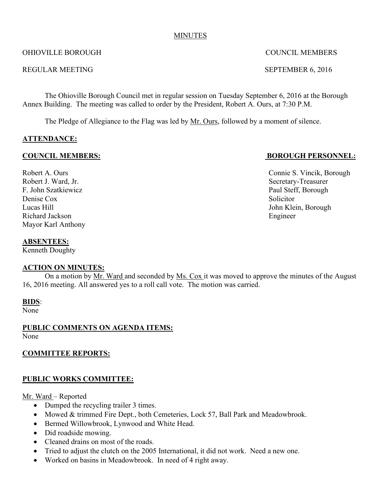#### MINUTES

#### OHIOVILLE BOROUGH COUNCIL MEMBERS

#### REGULAR MEETING SEPTEMBER 6, 2016

The Ohioville Borough Council met in regular session on Tuesday September 6, 2016 at the Borough Annex Building. The meeting was called to order by the President, Robert A. Ours, at 7:30 P.M.

The Pledge of Allegiance to the Flag was led by Mr. Ours, followed by a moment of silence.

### **ATTENDANCE:**

Robert J. Ward, Jr. Secretary-Treasurer F. John Szatkiewicz Paul Steff, Borough Denise Cox Solicitor Lucas Hill John Klein, Borough Richard Jackson Engineer Mayor Karl Anthony

### **COUNCIL MEMBERS: BOROUGH PERSONNEL:**

Robert A. Ours Connie S. Vincik, Borough

#### **ABSENTEES:**

Kenneth Doughty

### **ACTION ON MINUTES:**

On a motion by Mr. Ward and seconded by Ms. Cox it was moved to approve the minutes of the August 16, 2016 meeting. All answered yes to a roll call vote. The motion was carried.

#### **BIDS**:

None

# **PUBLIC COMMENTS ON AGENDA ITEMS:**

None

### **COMMITTEE REPORTS:**

### **PUBLIC WORKS COMMITTEE:**

#### Mr. Ward – Reported

- Dumped the recycling trailer 3 times.
- Mowed & trimmed Fire Dept., both Cemeteries, Lock 57, Ball Park and Meadowbrook.
- Bermed Willowbrook, Lynwood and White Head.
- Did roadside mowing.
- Cleaned drains on most of the roads.
- Tried to adjust the clutch on the 2005 International, it did not work. Need a new one.
- Worked on basins in Meadowbrook. In need of 4 right away.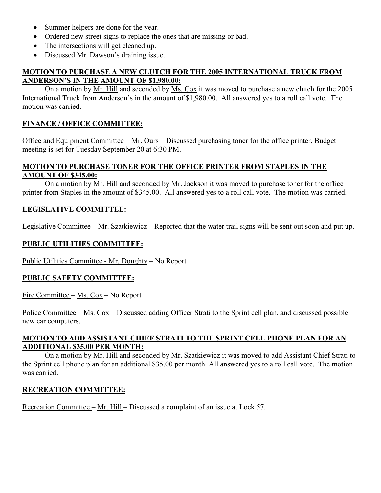- Summer helpers are done for the year.
- Ordered new street signs to replace the ones that are missing or bad.
- The intersections will get cleaned up.
- Discussed Mr. Dawson's draining issue.

### **MOTION TO PURCHASE A NEW CLUTCH FOR THE 2005 INTERNATIONAL TRUCK FROM ANDERSON'S IN THE AMOUNT OF \$1,980.00:**

On a motion by Mr. Hill and seconded by Ms. Cox it was moved to purchase a new clutch for the 2005 International Truck from Anderson's in the amount of \$1,980.00. All answered yes to a roll call vote. The motion was carried.

# **FINANCE / OFFICE COMMITTEE:**

Office and Equipment Committee – Mr. Ours – Discussed purchasing toner for the office printer, Budget meeting is set for Tuesday September 20 at 6:30 PM.

# **MOTION TO PURCHASE TONER FOR THE OFFICE PRINTER FROM STAPLES IN THE AMOUNT OF \$345.00:**

On a motion by Mr. Hill and seconded by Mr. Jackson it was moved to purchase toner for the office printer from Staples in the amount of \$345.00. All answered yes to a roll call vote. The motion was carried.

# **LEGISLATIVE COMMITTEE:**

Legislative Committee – Mr. Szatkiewicz – Reported that the water trail signs will be sent out soon and put up.

# **PUBLIC UTILITIES COMMITTEE:**

Public Utilities Committee - Mr. Doughty – No Report

### **PUBLIC SAFETY COMMITTEE:**

Fire Committee – Ms. Cox – No Report

Police Committee – Ms. Cox – Discussed adding Officer Strati to the Sprint cell plan, and discussed possible new car computers.

### **MOTION TO ADD ASSISTANT CHIEF STRATI TO THE SPRINT CELL PHONE PLAN FOR AN ADDITIONAL \$35.00 PER MONTH:**

On a motion by Mr. Hill and seconded by Mr. Szatkiewicz it was moved to add Assistant Chief Strati to the Sprint cell phone plan for an additional \$35.00 per month. All answered yes to a roll call vote. The motion was carried.

### **RECREATION COMMITTEE:**

Recreation Committee – Mr. Hill – Discussed a complaint of an issue at Lock 57.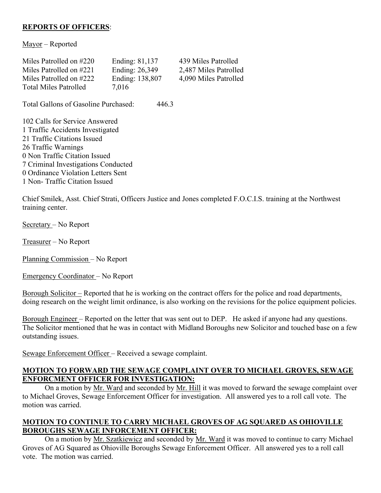# **REPORTS OF OFFICERS**:

Mayor – Reported

| Miles Patrolled on #220      | Ending: 81,137  | 439 Miles Patrolled   |
|------------------------------|-----------------|-----------------------|
| Miles Patrolled on #221      | Ending: 26,349  | 2,487 Miles Patrolled |
| Miles Patrolled on #222      | Ending: 138,807 | 4,090 Miles Patrolled |
| <b>Total Miles Patrolled</b> | 7.016           |                       |

Total Gallons of Gasoline Purchased: 446.3

 Calls for Service Answered Traffic Accidents Investigated Traffic Citations Issued Traffic Warnings 0 Non Traffic Citation Issued Criminal Investigations Conducted 0 Ordinance Violation Letters Sent 1 Non- Traffic Citation Issued

Chief Smilek, Asst. Chief Strati, Officers Justice and Jones completed F.O.C.I.S. training at the Northwest training center.

Secretary – No Report

Treasurer – No Report

Planning Commission – No Report

Emergency Coordinator – No Report

Borough Solicitor – Reported that he is working on the contract offers for the police and road departments, doing research on the weight limit ordinance, is also working on the revisions for the police equipment policies.

Borough Engineer – Reported on the letter that was sent out to DEP. He asked if anyone had any questions. The Solicitor mentioned that he was in contact with Midland Boroughs new Solicitor and touched base on a few outstanding issues.

Sewage Enforcement Officer – Received a sewage complaint.

#### **MOTION TO FORWARD THE SEWAGE COMPLAINT OVER TO MICHAEL GROVES, SEWAGE ENFORCMENT OFFICER FOR INVESTIGATION:**

On a motion by Mr. Ward and seconded by Mr. Hill it was moved to forward the sewage complaint over to Michael Groves, Sewage Enforcement Officer for investigation. All answered yes to a roll call vote. The motion was carried.

### **MOTION TO CONTINUE TO CARRY MICHAEL GROVES OF AG SQUARED AS OHIOVILLE BOROUGHS SEWAGE INFORCEMENT OFFICER:**

On a motion by Mr. Szatkiewicz and seconded by Mr. Ward it was moved to continue to carry Michael Groves of AG Squared as Ohioville Boroughs Sewage Enforcement Officer. All answered yes to a roll call vote. The motion was carried.